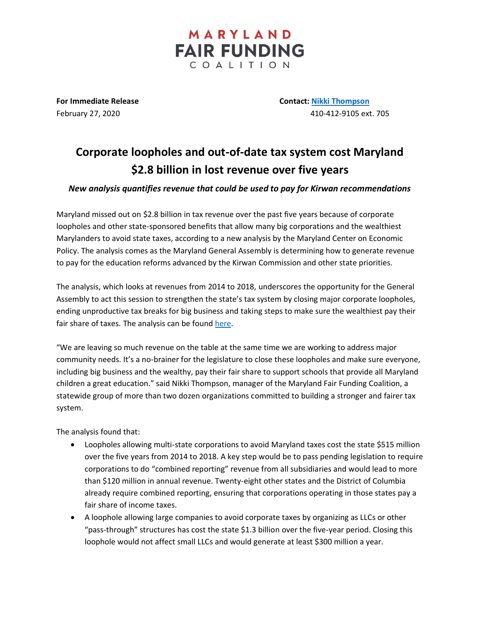**FAIR FUNDING** COALITION

MARYLAND

**For Immediate Release Contact: [Nikki Thompson](mailto:nthompson@mdeconomy.org)**

February 27, 2020 410-412-9105 ext. 705

## **Corporate loopholes and out-of-date tax system cost Maryland \$2.8 billion in lost revenue over five years**

*New analysis quantifies revenue that could be used to pay for Kirwan recommendations*

Maryland missed out on \$2.8 billion in tax revenue over the past five years because of corporate loopholes and other state-sponsored benefits that allow many big corporations and the wealthiest Marylanders to avoid state taxes, according to a new analysis by the Maryland Center on Economic Policy. The analysis comes as the Maryland General Assembly is determining how to generate revenue to pay for the education reforms advanced by the Kirwan Commission and other state priorities.

The analysis, which looks at revenues from 2014 to 2018, underscores the opportunity for the General Assembly to act this session to strengthen the state's tax system by closing major corporate loopholes, ending unproductive tax breaks for big business and taking steps to make sure the wealthiest pay their fair share of taxes. The analysis can be found [here.](http://www.mdeconomy.org/missed-opportunity/)

"We are leaving so much revenue on the table at the same time we are working to address major community needs. It's a no-brainer for the legislature to close these loopholes and make sure everyone, including big business and the wealthy, pay their fair share to support schools that provide all Maryland children a great education." said Nikki Thompson, manager of the Maryland Fair Funding Coalition, a statewide group of more than two dozen organizations committed to building a stronger and fairer tax system.

The analysis found that:

- Loopholes allowing multi-state corporations to avoid Maryland taxes cost the state \$515 million over the five years from 2014 to 2018. A key step would be to pass pending legislation to require corporations to do "combined reporting" revenue from all subsidiaries and would lead to more than \$120 million in annual revenue. Twenty-eight other states and the District of Columbia already require combined reporting, ensuring that corporations operating in those states pay a fair share of income taxes.
- A loophole allowing large companies to avoid corporate taxes by organizing as LLCs or other "pass-through" structures has cost the state \$1.3 billion over the five-year period. Closing this loophole would not affect small LLCs and would generate at least \$300 million a year.